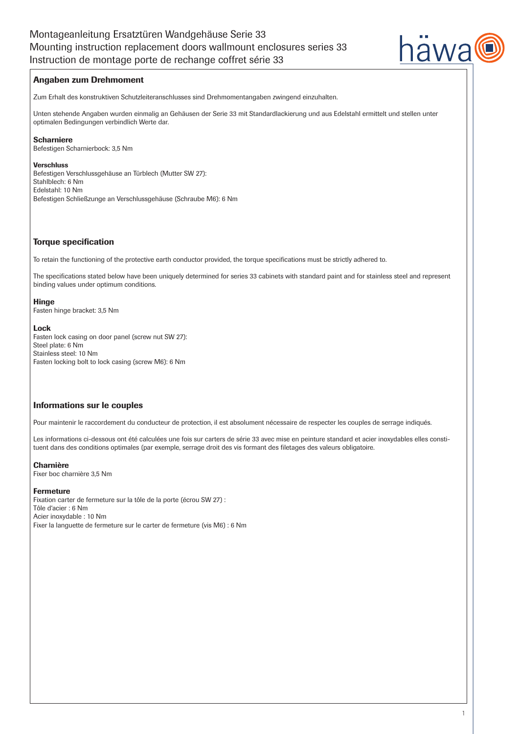

# Angaben zum Drehmoment

Zum Erhalt des konstruktiven Schutzleiteranschlusses sind Drehmomentangaben zwingend einzuhalten.

Unten stehende Angaben wurden einmalig an Gehäusen der Serie 33 mit Standardlackierung und aus Edelstahl ermittelt und stellen unter optimalen Bedingungen verbindlich Werte dar.

# Scharniere

Befestigen Scharnierbock: 3,5 Nm

## Verschluss

Befestigen Verschlussgehäuse an Türblech (Mutter SW 27): Stahlblech: 6 Nm Edelstahl: 10 Nm Befestigen Schließzunge an Verschlussgehäuse (Schraube M6): 6 Nm

# Torque specification

To retain the functioning of the protective earth conductor provided, the torque specifications must be strictly adhered to.

The specifications stated below have been uniquely determined for series 33 cabinets with standard paint and for stainless steel and represent binding values under optimum conditions.

# Hinge

Fasten hinge bracket: 3,5 Nm

### Lock

Fasten lock casing on door panel (screw nut SW 27): Steel plate: 6 Nm Stainless steel: 10 Nm Fasten locking bolt to lock casing (screw M6): 6 Nm

# Informations sur le couples

Pour maintenir le raccordement du conducteur de protection, il est absolument nécessaire de respecter les couples de serrage indiqués.

Les informations ci-dessous ont été calculées une fois sur carters de série 33 avec mise en peinture standard et acier inoxydables elles constituent dans des conditions optimales (par exemple, serrage droit des vis formant des filetages des valeurs obligatoire.

# Charnière

Fixer boc charnière 3,5 Nm

# Fermeture

Fixation carter de fermeture sur la tôle de la porte (écrou SW 27) : Tôle d'acier : 6 Nm Acier inoxydable : 10 Nm Fixer la languette de fermeture sur le carter de fermeture (vis M6) : 6 Nm